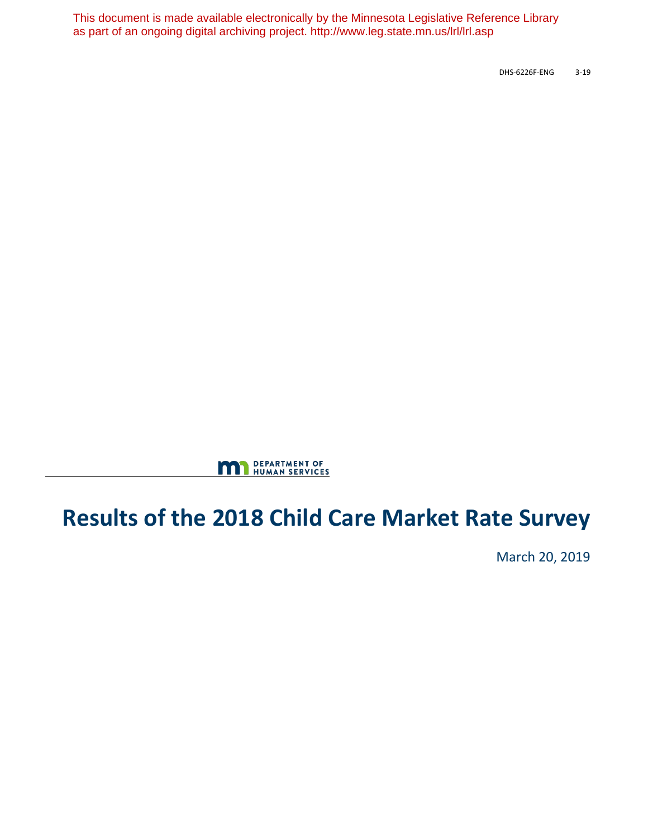This document is made available electronically by the Minnesota Legislative Reference Library as part of an ongoing digital archiving project. http://www.leg.state.mn.us/lrl/lrl.asp

DHS-6226F-ENG 3-19



# **Results of the 2018 Child Care Market Rate Survey**

March 20, 2019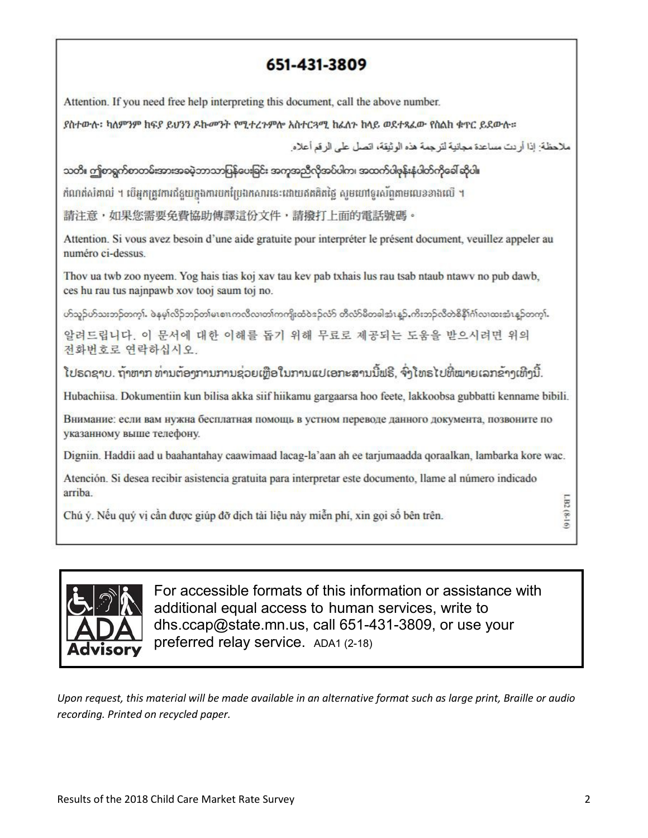# 651-431-3809

Attention. If you need free help interpreting this document, call the above number.

ያስተውሉ፡ ካለምንም ከፍያ ይህንን ዶኩመንት የሚተረጉምሎ አስተርጓሚ ከፈለጉ ከላይ ወደተጻፈው የስልክ ቁጥር ይደውሉ።

ملاحظة؛ إذا أر دت مساعدة مجانبة لتر جمة هذه الوثيقة، اتصل على الر قم أعلاه

သတိ။ ဤစာရွက်စာတမ်းအားအခမဲ့ဘာသာပြန်ပေးခြင်း အကူအညီလိုအပ်ပါက၊ အထက်ပါဖုန်းနံပါတ်ကိုခေါ် ဆိုပါ။

កំណត់សំគាល់ ។ បើអកត្រូវការជំនួយកងការបកប្រែងកសារនេះដោយឥតគិតថៃ សមហៅទរសំពតាមលេខខាងលើ ។

請注意,如果您需要免費協助傳譯這份文件,請撥打上面的電話號碼。

Attention. Si vous avez besoin d'une aide gratuite pour interpréter le présent document, veuillez appeler au numéro ci-dessus.

Thov ua twb zoo nyeem. Yog hais tias koj xav tau key pab txhais lus rau tsab ntaub ntawy no pub dawb, ces hu rau tus najnpawb xov tooj saum toj no.

ဟ်သူဉ်ဟ်သႏဘဉ်တကု). ဖဲနမ္]လိုဉ်ဘဉ်တ၊်မၤစၢၤကလီလ၊တ၊်ကကျိုးထံဝဲဒဉ်လံာ် တီလံာမိတခါအံၤန္ဗာ် ကိုးဘဉ်လီတဲစိနီ၊်ဂါလ၊ထႏအံၤန္ဥတကု).

알려드립니다. 이 문서에 대한 이해를 돕기 위해 무료로 제공되는 도움을 받으시려면 위의 전화번호로 연락하십시오.

ໂປຣດຊາບ. ຖ້າຫາກ ທ່ານຕ້ອງການການຊ່ວຍເຫືອໃນການແປເອກະສານນີ້ຟຣີ, ຈົ່ງໂທຣໄປທີ່ໝາຍເລກຂ້າງເທີງນີ້.

Hubachiisa. Dokumentiin kun bilisa akka siif hiikamu gargaarsa hoo feete, lakkoobsa gubbatti kenname bibili.

Внимание: если вам нужна бесплатная помощь в устном переводе данного документа, позвоните по указанному выше телефону.

Digniin. Haddii aad u baahantahay caawimaad lacag-la'aan ah ee tarjumaadda qoraalkan, lambarka kore wac.

Atención. Si desea recibir asistencia gratuita para interpretar este documento, llame al número indicado arriba

Chú ý. Nếu quý vị cần được giúp đỡ dịch tài liệu này miễn phí, xin gọi số bên trên.



For accessible formats of this information or assistance with additional equal access to human services, write to dhs.ccap@state.mn.us, call 651-431-3809, or use your preferred relay service. ADA1 (2-18)

*Upon request, this material will be made available in an alternative format such as large print, Braille or audio recording. Printed on recycled paper.*

LB2 (8-16)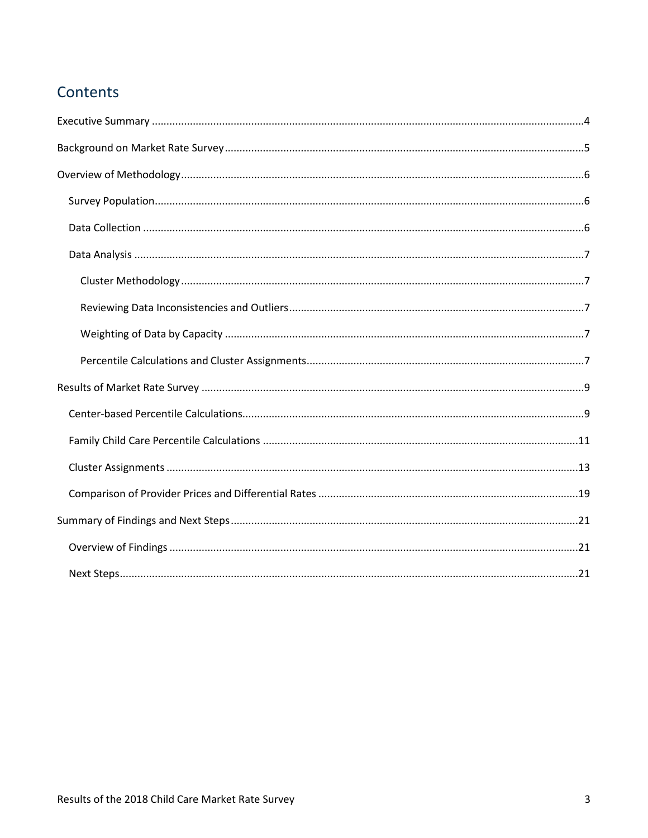# Contents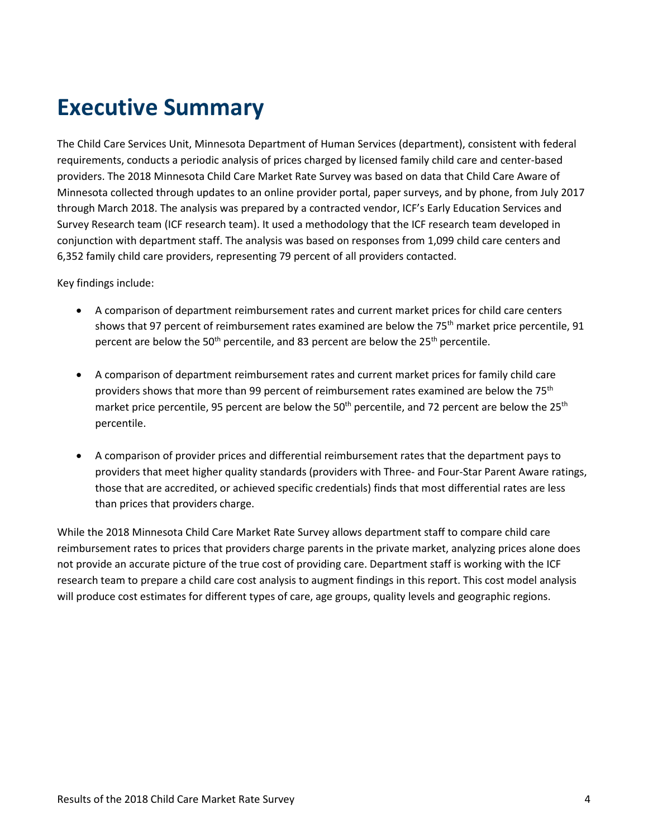# <span id="page-3-0"></span>**Executive Summary**

The Child Care Services Unit, Minnesota Department of Human Services (department), consistent with federal requirements, conducts a periodic analysis of prices charged by licensed family child care and center-based providers. The 2018 Minnesota Child Care Market Rate Survey was based on data that Child Care Aware of Minnesota collected through updates to an online provider portal, paper surveys, and by phone, from July 2017 through March 2018. The analysis was prepared by a contracted vendor, ICF's Early Education Services and Survey Research team (ICF research team). It used a methodology that the ICF research team developed in conjunction with department staff. The analysis was based on responses from 1,099 child care centers and 6,352 family child care providers, representing 79 percent of all providers contacted.

Key findings include:

- A comparison of department reimbursement rates and current market prices for child care centers shows that 97 percent of reimbursement rates examined are below the 75<sup>th</sup> market price percentile, 91 percent are below the 50<sup>th</sup> percentile, and 83 percent are below the 25<sup>th</sup> percentile.
- A comparison of department reimbursement rates and current market prices for family child care providers shows that more than 99 percent of reimbursement rates examined are below the 75<sup>th</sup> market price percentile, 95 percent are below the  $50<sup>th</sup>$  percentile, and 72 percent are below the 25<sup>th</sup> percentile.
- A comparison of provider prices and differential reimbursement rates that the department pays to providers that meet higher quality standards (providers with Three- and Four-Star Parent Aware ratings, those that are accredited, or achieved specific credentials) finds that most differential rates are less than prices that providers charge.

While the 2018 Minnesota Child Care Market Rate Survey allows department staff to compare child care reimbursement rates to prices that providers charge parents in the private market, analyzing prices alone does not provide an accurate picture of the true cost of providing care. Department staff is working with the ICF research team to prepare a child care cost analysis to augment findings in this report. This cost model analysis will produce cost estimates for different types of care, age groups, quality levels and geographic regions.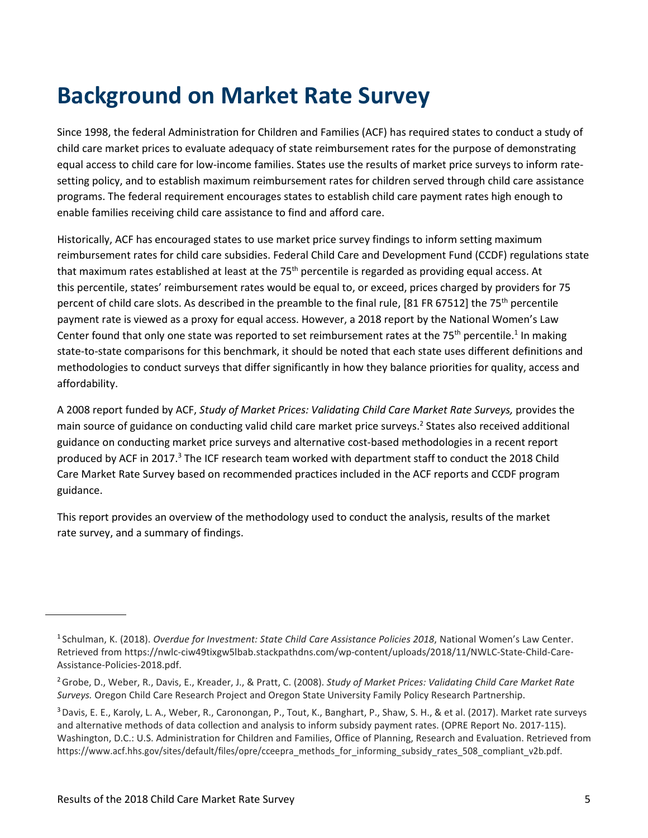# <span id="page-4-0"></span>**Background on Market Rate Survey**

Since 1998, the federal Administration for Children and Families (ACF) has required states to conduct a study of child care market prices to evaluate adequacy of state reimbursement rates for the purpose of demonstrating equal access to child care for low-income families. States use the results of market price surveys to inform ratesetting policy, and to establish maximum reimbursement rates for children served through child care assistance programs. The federal requirement encourages states to establish child care payment rates high enough to enable families receiving child care assistance to find and afford care.

Historically, ACF has encouraged states to use market price survey findings to inform setting maximum reimbursement rates for child care subsidies. Federal Child Care and Development Fund (CCDF) regulations state that maximum rates established at least at the 75<sup>th</sup> percentile is regarded as providing equal access. At this percentile, states' reimbursement rates would be equal to, or exceed, prices charged by providers for 75 percent of child care slots. As described in the preamble to the final rule, [81 FR 67512] the 75th percentile payment rate is viewed as a proxy for equal access. However, a 2018 report by the National Women's Law Center found that only one state was reported to set reimbursement rates at the 75<sup>th</sup> percentile.<sup>1</sup> In making state-to-state comparisons for this benchmark, it should be noted that each state uses different definitions and methodologies to conduct surveys that differ significantly in how they balance priorities for quality, access and affordability.

A 2008 report funded by ACF, *Study of Market Prices: Validating Child Care Market Rate Surveys,* provides the main source of guidance on conducting valid child care market price surveys.<sup>2</sup> States also received additional guidance on conducting market price surveys and alternative cost-based methodologies in a recent report produced by ACF in 2017.<sup>3</sup> The ICF research team worked with department staff to conduct the 2018 Child Care Market Rate Survey based on recommended practices included in the ACF reports and CCDF program guidance.

This report provides an overview of the methodology used to conduct the analysis, results of the market rate survey, and a summary of findings.

<sup>1</sup> Schulman, K. (2018). *Overdue for Investment: State Child Care Assistance Policies 2018*, National Women's Law Center. Retrieved from https://nwlc-ciw49tixgw5lbab.stackpathdns.com/wp-content/uploads/2018/11/NWLC-State-Child-Care-Assistance-Policies-2018.pdf.

<sup>2</sup> Grobe, D., Weber, R., Davis, E., Kreader, J., & Pratt, C. (2008). *Study of Market Prices: Validating Child Care Market Rate Surveys.* Oregon Child Care Research Project and Oregon State University Family Policy Research Partnership.

<sup>3</sup> Davis, E. E., Karoly, L. A., Weber, R., Caronongan, P., Tout, K., Banghart, P., Shaw, S. H., & et al. (2017). Market rate surveys and alternative methods of data collection and analysis to inform subsidy payment rates. (OPRE Report No. 2017-115). Washington, D.C.: U.S. Administration for Children and Families, Office of Planning, Research and Evaluation. Retrieved from https[://www.acf.hhs.gov/sites/default/files/opre/cceepra\\_methods\\_for\\_informing\\_subsidy\\_rates\\_508\\_compliant\\_v2b.pdf.](http://www.acf.hhs.gov/sites/default/files/opre/cceepra_methods_for_informing_subsidy_rates_508_compliant_v2b.pdf)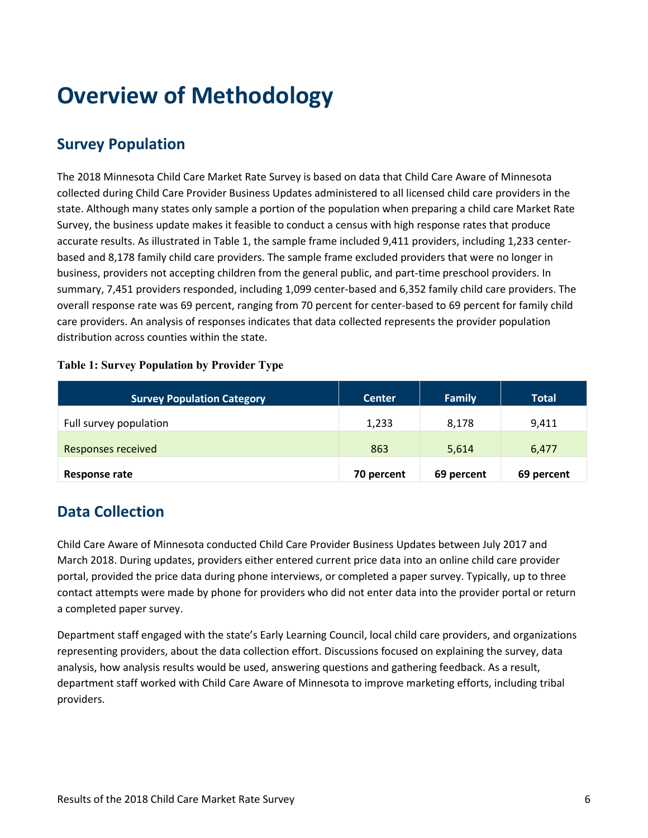# <span id="page-5-0"></span>**Overview of Methodology**

# <span id="page-5-1"></span>**Survey Population**

The 2018 Minnesota Child Care Market Rate Survey is based on data that Child Care Aware of Minnesota collected during Child Care Provider Business Updates administered to all licensed child care providers in the state. Although many states only sample a portion of the population when preparing a child care Market Rate Survey, the business update makes it feasible to conduct a census with high response rates that produce accurate results. As illustrated in Table 1, the sample frame included 9,411 providers, including 1,233 centerbased and 8,178 family child care providers. The sample frame excluded providers that were no longer in business, providers not accepting children from the general public, and part-time preschool providers. In summary, 7,451 providers responded, including 1,099 center-based and 6,352 family child care providers. The overall response rate was 69 percent, ranging from 70 percent for center-based to 69 percent for family child care providers. An analysis of responses indicates that data collected represents the provider population distribution across counties within the state.

#### **Table 1: Survey Population by Provider Type**

| <b>Survey Population Category</b> | <b>Center</b> | Family     | <b>Total</b> |
|-----------------------------------|---------------|------------|--------------|
| Full survey population            | 1,233         | 8.178      | 9,411        |
| <b>Responses received</b>         | 863           | 5,614      | 6,477        |
| Response rate                     | 70 percent    | 69 percent | 69 percent   |

## <span id="page-5-2"></span>**Data Collection**

Child Care Aware of Minnesota conducted Child Care Provider Business Updates between July 2017 and March 2018. During updates, providers either entered current price data into an online child care provider portal, provided the price data during phone interviews, or completed a paper survey. Typically, up to three contact attempts were made by phone for providers who did not enter data into the provider portal or return a completed paper survey.

Department staff engaged with the state's Early Learning Council, local child care providers, and organizations representing providers, about the data collection effort. Discussions focused on explaining the survey, data analysis, how analysis results would be used, answering questions and gathering feedback. As a result, department staff worked with Child Care Aware of Minnesota to improve marketing efforts, including tribal providers.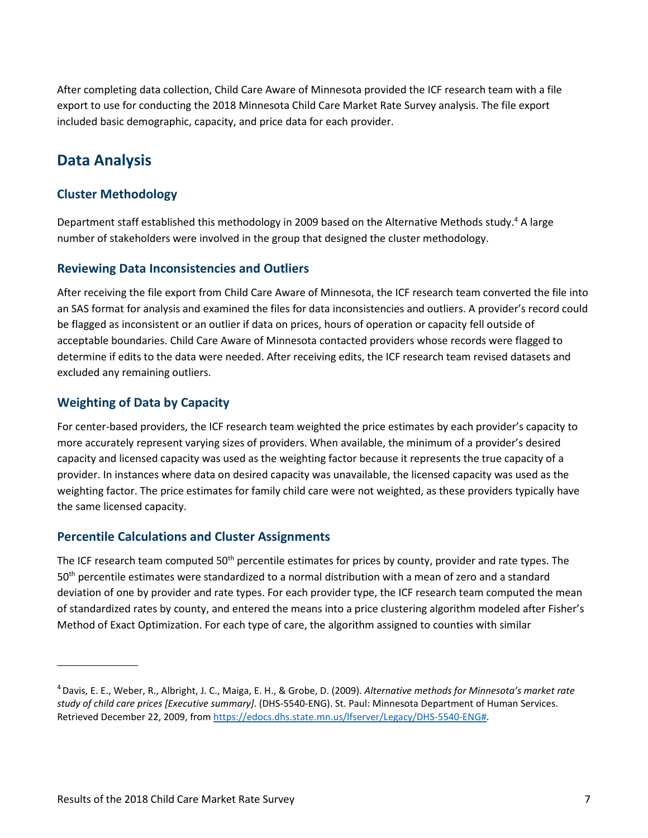After completing data collection, Child Care Aware of Minnesota provided the ICF research team with a file export to use for conducting the 2018 Minnesota Child Care Market Rate Survey analysis. The file export included basic demographic, capacity, and price data for each provider.

## <span id="page-6-0"></span>**Data Analysis**

#### <span id="page-6-1"></span>**Cluster Methodology**

Department staff established this methodology in 2009 based on the Alternative Methods study.<sup>4</sup> A large number of stakeholders were involved in the group that designed the cluster methodology.

#### <span id="page-6-2"></span>**Reviewing Data Inconsistencies and Outliers**

After receiving the file export from Child Care Aware of Minnesota, the ICF research team converted the file into an SAS format for analysis and examined the files for data inconsistencies and outliers. A provider's record could be flagged as inconsistent or an outlier if data on prices, hours of operation or capacity fell outside of acceptable boundaries. Child Care Aware of Minnesota contacted providers whose records were flagged to determine if edits to the data were needed. After receiving edits, the ICF research team revised datasets and excluded any remaining outliers.

#### <span id="page-6-3"></span>**Weighting of Data by Capacity**

For center-based providers, the ICF research team weighted the price estimates by each provider's capacity to more accurately represent varying sizes of providers. When available, the minimum of a provider's desired capacity and licensed capacity was used as the weighting factor because it represents the true capacity of a provider. In instances where data on desired capacity was unavailable, the licensed capacity was used as the weighting factor. The price estimates for family child care were not weighted, as these providers typically have the same licensed capacity.

#### <span id="page-6-4"></span>**Percentile Calculations and Cluster Assignments**

The ICF research team computed 50<sup>th</sup> percentile estimates for prices by county, provider and rate types. The 50th percentile estimates were standardized to a normal distribution with a mean of zero and a standard deviation of one by provider and rate types. For each provider type, the ICF research team computed the mean of standardized rates by county, and entered the means into a price clustering algorithm modeled after Fisher's Method of Exact Optimization. For each type of care, the algorithm assigned to counties with similar

<sup>4</sup> Davis, E. E., Weber, R., Albright, J. C., Maiga, E. H., & Grobe, D. (2009). *Alternative methods for Minnesota's market rate study of child care prices [Executive summary]*. (DHS-5540-ENG). St. Paul: Minnesota Department of Human Services. Retrieved December 22, 2009, from [https://edocs.dhs.state.mn.us/lfserver/Legacy/DHS-5540-ENG#.](https://edocs.dhs.state.mn.us/lfserver/Legacy/DHS-5540-ENG)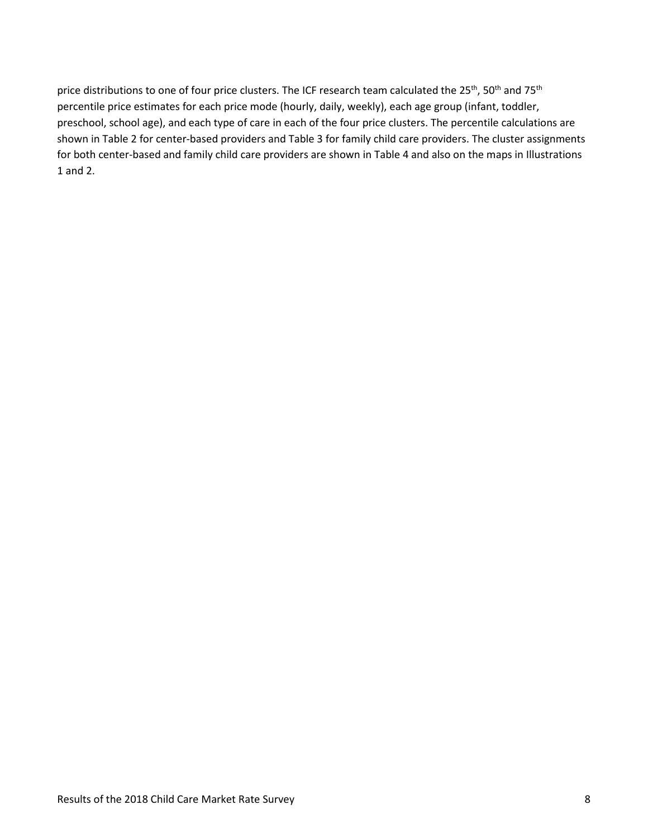price distributions to one of four price clusters. The ICF research team calculated the 25<sup>th</sup>, 50<sup>th</sup> and 75<sup>th</sup> percentile price estimates for each price mode (hourly, daily, weekly), each age group (infant, toddler, preschool, school age), and each type of care in each of the four price clusters. The percentile calculations are shown in Table 2 for center-based providers and Table 3 for family child care providers. The cluster assignments for both center-based and family child care providers are shown in Table 4 and also on the maps in Illustrations 1 and 2.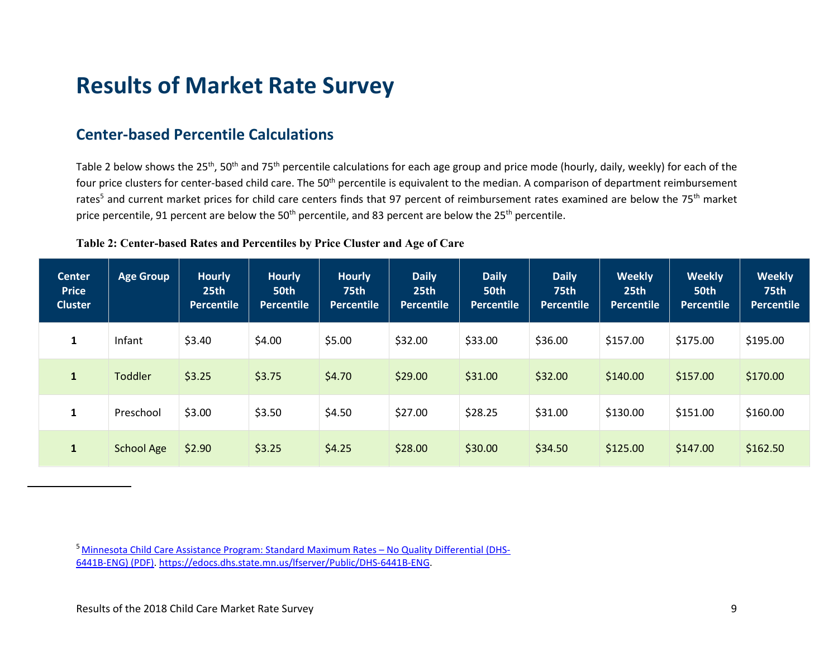# **Results of Market Rate Survey**

## **Center-based Percentile Calculations**

Table 2 below shows the 25<sup>th</sup>, 50<sup>th</sup> and 75<sup>th</sup> percentile calculations for each age group and price mode (hourly, daily, weekly) for each of the four price clusters for center-based child care. The 50<sup>th</sup> percentile is equivalent to the median. A comparison of department reimbursement rates<sup>5</sup> and current market prices for child care centers finds that 97 percent of reimbursement rates examined are below the 75<sup>th</sup> market price percentile, 91 percent are below the 50<sup>th</sup> percentile, and 83 percent are below the 25<sup>th</sup> percentile.

#### **Table 2: Center-based Rates and Percentiles by Price Cluster and Age of Care**

<span id="page-8-1"></span><span id="page-8-0"></span>

| <b>Center</b><br><b>Price</b><br><b>Cluster</b> | Age Group         | <b>Hourly</b><br>25th<br><b>Percentile</b> | <b>Hourly</b><br>50th<br>Percentile | <b>Hourly</b><br><b>75th</b><br><b>Percentile</b> | <b>Daily</b><br>25 <sub>th</sub><br><b>Percentile</b> | <b>Daily</b><br>50th<br>Percentile | <b>Daily</b><br><b>75th</b><br><b>Percentile</b> | <b>Weekly</b><br>25th<br><b>Percentile</b> | <b>Weekly</b><br>50th<br><b>Percentile</b> | <b>Weekly</b><br><b>75th</b><br>Percentile |
|-------------------------------------------------|-------------------|--------------------------------------------|-------------------------------------|---------------------------------------------------|-------------------------------------------------------|------------------------------------|--------------------------------------------------|--------------------------------------------|--------------------------------------------|--------------------------------------------|
| 1                                               | Infant            | \$3.40                                     | \$4.00                              | \$5.00                                            | \$32.00                                               | \$33.00                            | \$36.00                                          | \$157.00                                   | \$175.00                                   | \$195.00                                   |
| $\mathbf{1}$                                    | <b>Toddler</b>    | \$3.25                                     | \$3.75                              | \$4.70                                            | \$29.00                                               | \$31.00                            | \$32.00                                          | \$140.00                                   | \$157.00                                   | \$170.00                                   |
| $\mathbf{1}$                                    | Preschool         | \$3.00                                     | \$3.50                              | \$4.50                                            | \$27.00                                               | \$28.25                            | \$31.00                                          | \$130.00                                   | \$151.00                                   | \$160.00                                   |
| $\mathbf{1}$                                    | <b>School Age</b> | \$2.90                                     | \$3.25                              | \$4.25                                            | \$28.00                                               | \$30.00                            | \$34.50                                          | \$125.00                                   | \$147.00                                   | \$162.50                                   |

[5 Minnesota Child Care Assistance Program: Standard Maximum Rates –](https://edocs.dhs.state.mn.us/lfserver/Public/DHS-6441B-ENG) No Quality Differential (DHS-[6441B-ENG\) \(PDF\). https://edocs.dhs.state.mn.us/lfserver/Public/DHS-6441B-ENG.](https://edocs.dhs.state.mn.us/lfserver/Public/DHS-6441B-ENG)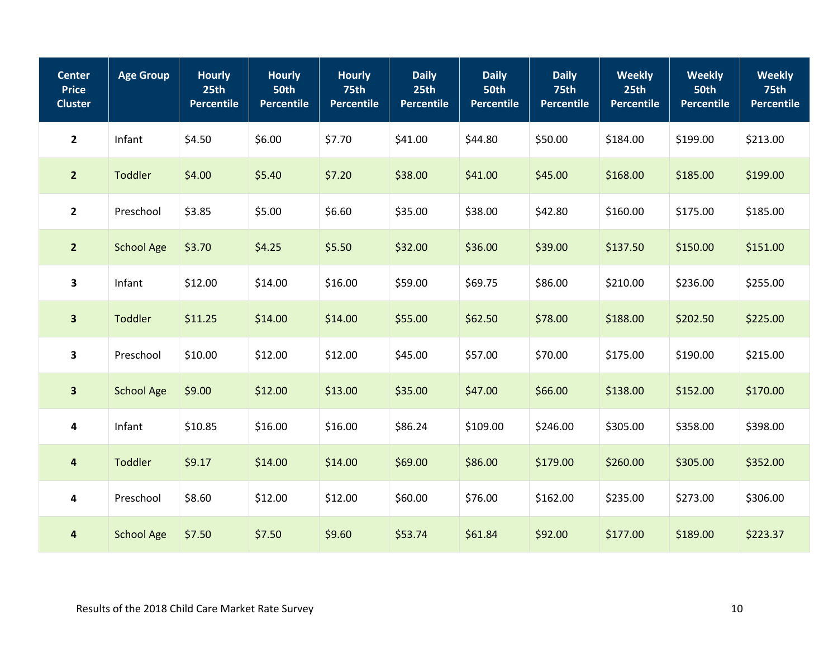| <b>Center</b><br><b>Price</b><br><b>Cluster</b> | <b>Age Group</b>  | <b>Hourly</b><br>25th<br><b>Percentile</b> | <b>Hourly</b><br><b>50th</b><br><b>Percentile</b> | <b>Hourly</b><br>75th<br><b>Percentile</b> | <b>Daily</b><br>25th<br><b>Percentile</b> | <b>Daily</b><br>50th<br><b>Percentile</b> | <b>Daily</b><br><b>75th</b><br><b>Percentile</b> | <b>Weekly</b><br>25 <sub>th</sub><br><b>Percentile</b> | <b>Weekly</b><br>50th<br><b>Percentile</b> | <b>Weekly</b><br>75th<br><b>Percentile</b> |
|-------------------------------------------------|-------------------|--------------------------------------------|---------------------------------------------------|--------------------------------------------|-------------------------------------------|-------------------------------------------|--------------------------------------------------|--------------------------------------------------------|--------------------------------------------|--------------------------------------------|
| $\mathbf{2}$                                    | Infant            | \$4.50                                     | \$6.00                                            | \$7.70                                     | \$41.00                                   | \$44.80                                   | \$50.00                                          | \$184.00                                               | \$199.00                                   | \$213.00                                   |
| $\overline{2}$                                  | Toddler           | \$4.00                                     | \$5.40                                            | \$7.20                                     | \$38.00                                   | \$41.00                                   | \$45.00                                          | \$168.00                                               | \$185.00                                   | \$199.00                                   |
| $\mathbf{2}$                                    | Preschool         | \$3.85                                     | \$5.00                                            | \$6.60                                     | \$35.00                                   | \$38.00                                   | \$42.80                                          | \$160.00                                               | \$175.00                                   | \$185.00                                   |
| $\overline{2}$                                  | <b>School Age</b> | \$3.70                                     | \$4.25                                            | \$5.50                                     | \$32.00                                   | \$36.00                                   | \$39.00                                          | \$137.50                                               | \$150.00                                   | \$151.00                                   |
| $\overline{\mathbf{3}}$                         | Infant            | \$12.00                                    | \$14.00                                           | \$16.00                                    | \$59.00                                   | \$69.75                                   | \$86.00                                          | \$210.00                                               | \$236.00                                   | \$255.00                                   |
| $\overline{\mathbf{3}}$                         | <b>Toddler</b>    | \$11.25                                    | \$14.00                                           | \$14.00                                    | \$55.00                                   | \$62.50                                   | \$78.00                                          | \$188.00                                               | \$202.50                                   | \$225.00                                   |
| $\overline{\mathbf{3}}$                         | Preschool         | \$10.00                                    | \$12.00                                           | \$12.00                                    | \$45.00                                   | \$57.00                                   | \$70.00                                          | \$175.00                                               | \$190.00                                   | \$215.00                                   |
| $\overline{\mathbf{3}}$                         | <b>School Age</b> | \$9.00                                     | \$12.00                                           | \$13.00                                    | \$35.00                                   | \$47.00                                   | \$66.00                                          | \$138.00                                               | \$152.00                                   | \$170.00                                   |
| $\overline{\mathbf{4}}$                         | Infant            | \$10.85                                    | \$16.00                                           | \$16.00                                    | \$86.24                                   | \$109.00                                  | \$246.00                                         | \$305.00                                               | \$358.00                                   | \$398.00                                   |
| $\overline{\mathbf{4}}$                         | Toddler           | \$9.17                                     | \$14.00                                           | \$14.00                                    | \$69.00                                   | \$86.00                                   | \$179.00                                         | \$260.00                                               | \$305.00                                   | \$352.00                                   |
| $\overline{\mathbf{4}}$                         | Preschool         | \$8.60                                     | \$12.00                                           | \$12.00                                    | \$60.00                                   | \$76.00                                   | \$162.00                                         | \$235.00                                               | \$273.00                                   | \$306.00                                   |
| $\overline{\mathbf{4}}$                         | <b>School Age</b> | \$7.50                                     | \$7.50                                            | \$9.60                                     | \$53.74                                   | \$61.84                                   | \$92.00                                          | \$177.00                                               | \$189.00                                   | \$223.37                                   |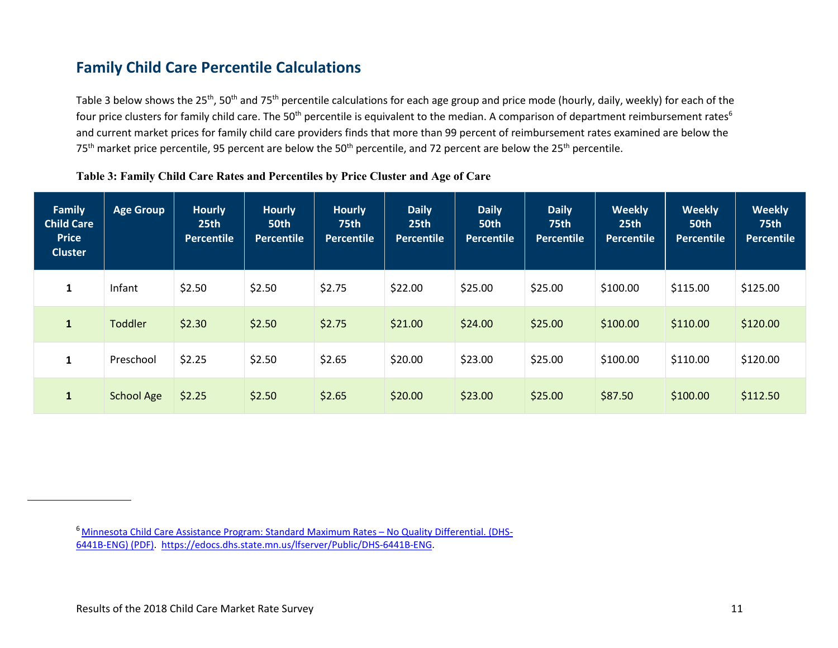# **Family Child Care Percentile Calculations**

Table 3 below shows the 25<sup>th</sup>, 50<sup>th</sup> and 75<sup>th</sup> percentile calculations for each age group and price mode (hourly, daily, weekly) for each of the four price clusters for family child care. The 50<sup>th</sup> percentile is equivalent to the median. A comparison of department reimbursement rates<sup>6</sup> and current market prices for family child care providers finds that more than 99 percent of reimbursement rates examined are below the  $75<sup>th</sup>$  market price percentile, 95 percent are below the  $50<sup>th</sup>$  percentile, and 72 percent are below the 25<sup>th</sup> percentile.

#### **Table 3: Family Child Care Rates and Percentiles by Price Cluster and Age of Care**

<span id="page-10-0"></span>

| <b>Family</b><br><b>Child Care</b><br><b>Price</b><br><b>Cluster</b> | Age Group         | <b>Hourly</b><br>25th<br>Percentile | <b>Hourly</b><br>50th<br>Percentile | <b>Hourly</b><br><b>75th</b><br><b>Percentile</b> | <b>Daily</b><br>25 <sub>th</sub><br>Percentile | <b>Daily</b><br>50th<br><b>Percentile</b> | <b>Daily</b><br><b>75th</b><br>Percentile | <b>Weekly</b><br>25 <sub>th</sub><br><b>Percentile</b> | <b>Weekly</b><br>50th<br>Percentile | <b>Weekly</b><br><b>75th</b><br><b>Percentile</b> |
|----------------------------------------------------------------------|-------------------|-------------------------------------|-------------------------------------|---------------------------------------------------|------------------------------------------------|-------------------------------------------|-------------------------------------------|--------------------------------------------------------|-------------------------------------|---------------------------------------------------|
| 1                                                                    | Infant            | \$2.50                              | \$2.50                              | \$2.75                                            | \$22.00                                        | \$25.00                                   | \$25.00                                   | \$100.00                                               | \$115.00                            | \$125.00                                          |
| $\mathbf{1}$                                                         | <b>Toddler</b>    | \$2.30                              | \$2.50                              | \$2.75                                            | \$21.00                                        | \$24.00                                   | \$25.00                                   | \$100.00                                               | \$110.00                            | \$120.00                                          |
| $\mathbf{1}$                                                         | Preschool         | \$2.25                              | \$2.50                              | \$2.65                                            | \$20.00                                        | \$23.00                                   | \$25.00                                   | \$100.00                                               | \$110.00                            | \$120.00                                          |
| $\mathbf{1}$                                                         | <b>School Age</b> | \$2.25                              | \$2.50                              | \$2.65                                            | \$20.00                                        | \$23.00                                   | \$25.00                                   | \$87.50                                                | \$100.00                            | \$112.50                                          |

<sup>6</sup> Minnesota Child Care Assistance Program: Standard Maximum Rates - No Quality Differential. (DHS-[6441B-ENG\) \(PDF\). https://edocs.dhs.state.mn.us/lfserver/Public/DHS-6441B-ENG.](https://edocs.dhs.state.mn.us/lfserver/Public/DHS-6441B-ENG)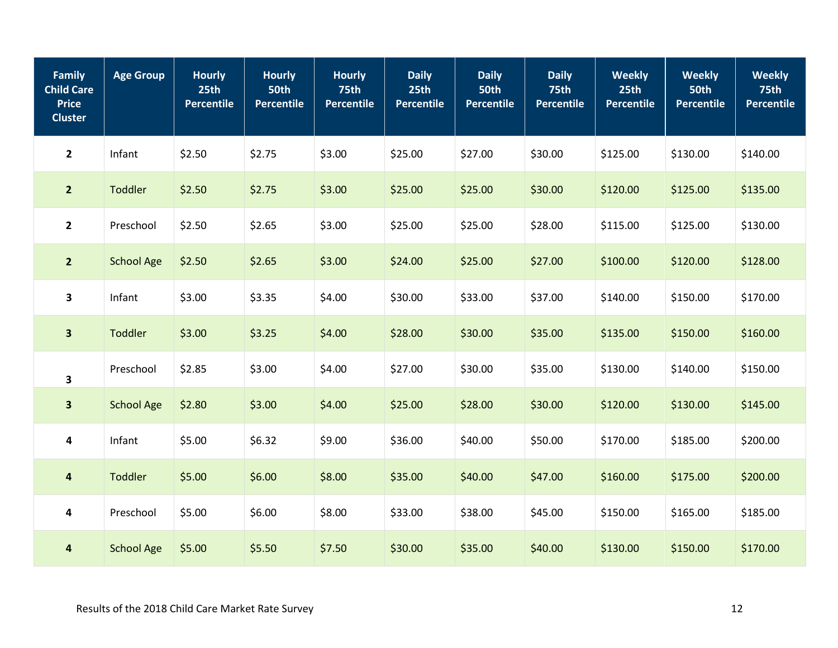| <b>Family</b><br><b>Child Care</b><br><b>Price</b><br><b>Cluster</b> | <b>Age Group</b>  | <b>Hourly</b><br>25th<br>Percentile | <b>Hourly</b><br>50th<br><b>Percentile</b> | <b>Hourly</b><br><b>75th</b><br><b>Percentile</b> | <b>Daily</b><br>25th<br><b>Percentile</b> | <b>Daily</b><br>50th<br><b>Percentile</b> | <b>Daily</b><br>75th<br>Percentile | <b>Weekly</b><br>25th<br><b>Percentile</b> | <b>Weekly</b><br>50th<br><b>Percentile</b> | <b>Weekly</b><br><b>75th</b><br><b>Percentile</b> |
|----------------------------------------------------------------------|-------------------|-------------------------------------|--------------------------------------------|---------------------------------------------------|-------------------------------------------|-------------------------------------------|------------------------------------|--------------------------------------------|--------------------------------------------|---------------------------------------------------|
| $\mathbf{2}$                                                         | Infant            | \$2.50                              | \$2.75                                     | \$3.00                                            | \$25.00                                   | \$27.00                                   | \$30.00                            | \$125.00                                   | \$130.00                                   | \$140.00                                          |
| $\overline{2}$                                                       | Toddler           | \$2.50                              | \$2.75                                     | \$3.00                                            | \$25.00                                   | \$25.00                                   | \$30.00                            | \$120.00                                   | \$125.00                                   | \$135.00                                          |
| $\overline{2}$                                                       | Preschool         | \$2.50                              | \$2.65                                     | \$3.00                                            | \$25.00                                   | \$25.00                                   | \$28.00                            | \$115.00                                   | \$125.00                                   | \$130.00                                          |
| $\overline{2}$                                                       | <b>School Age</b> | \$2.50                              | \$2.65                                     | \$3.00                                            | \$24.00                                   | \$25.00                                   | \$27.00                            | \$100.00                                   | \$120.00                                   | \$128.00                                          |
| $\mathbf{3}$                                                         | Infant            | \$3.00                              | \$3.35                                     | \$4.00                                            | \$30.00                                   | \$33.00                                   | \$37.00                            | \$140.00                                   | \$150.00                                   | \$170.00                                          |
| $\overline{\mathbf{3}}$                                              | <b>Toddler</b>    | \$3.00                              | \$3.25                                     | \$4.00                                            | \$28.00                                   | \$30.00                                   | \$35.00                            | \$135.00                                   | \$150.00                                   | \$160.00                                          |
| 3                                                                    | Preschool         | \$2.85                              | \$3.00                                     | \$4.00                                            | \$27.00                                   | \$30.00                                   | \$35.00                            | \$130.00                                   | \$140.00                                   | \$150.00                                          |
| $\overline{\mathbf{3}}$                                              | <b>School Age</b> | \$2.80                              | \$3.00                                     | \$4.00                                            | \$25.00                                   | \$28.00                                   | \$30.00                            | \$120.00                                   | \$130.00                                   | \$145.00                                          |
| $\pmb{4}$                                                            | Infant            | \$5.00                              | \$6.32                                     | \$9.00                                            | \$36.00                                   | \$40.00                                   | \$50.00                            | \$170.00                                   | \$185.00                                   | \$200.00                                          |
| $\overline{\mathbf{4}}$                                              | Toddler           | \$5.00                              | \$6.00                                     | \$8.00                                            | \$35.00                                   | \$40.00                                   | \$47.00                            | \$160.00                                   | \$175.00                                   | \$200.00                                          |
| $\overline{\mathbf{4}}$                                              | Preschool         | \$5.00                              | \$6.00                                     | \$8.00                                            | \$33.00                                   | \$38.00                                   | \$45.00                            | \$150.00                                   | \$165.00                                   | \$185.00                                          |
| $\overline{\mathbf{4}}$                                              | <b>School Age</b> | \$5.00                              | \$5.50                                     | \$7.50                                            | \$30.00                                   | \$35.00                                   | \$40.00                            | \$130.00                                   | \$150.00                                   | \$170.00                                          |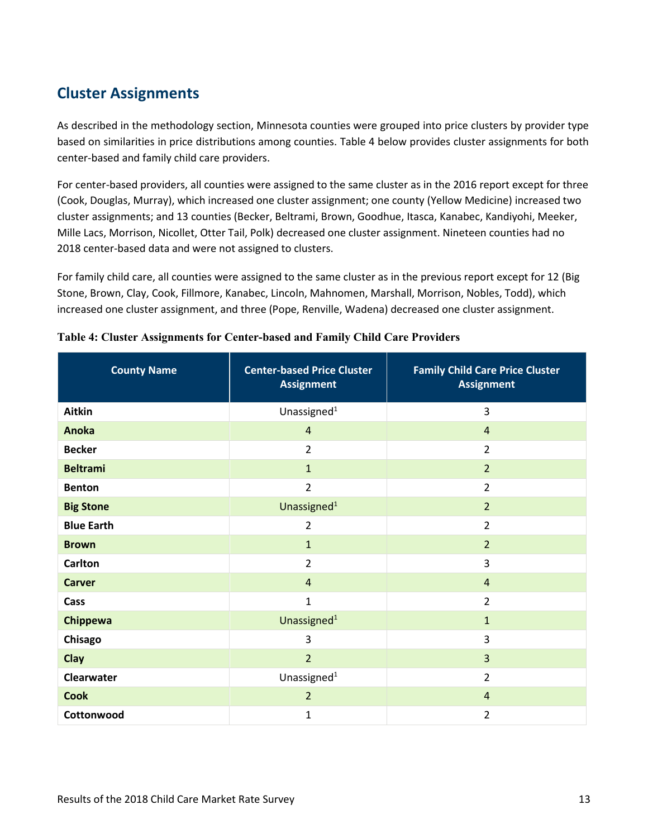# <span id="page-12-0"></span>**Cluster Assignments**

As described in the methodology section, Minnesota counties were grouped into price clusters by provider type based on similarities in price distributions among counties. Table 4 below provides cluster assignments for both center-based and family child care providers.

For center-based providers, all counties were assigned to the same cluster as in the 2016 report except for three (Cook, Douglas, Murray), which increased one cluster assignment; one county (Yellow Medicine) increased two cluster assignments; and 13 counties (Becker, Beltrami, Brown, Goodhue, Itasca, Kanabec, Kandiyohi, Meeker, Mille Lacs, Morrison, Nicollet, Otter Tail, Polk) decreased one cluster assignment. Nineteen counties had no 2018 center-based data and were not assigned to clusters.

For family child care, all counties were assigned to the same cluster as in the previous report except for 12 (Big Stone, Brown, Clay, Cook, Fillmore, Kanabec, Lincoln, Mahnomen, Marshall, Morrison, Nobles, Todd), which increased one cluster assignment, and three (Pope, Renville, Wadena) decreased one cluster assignment.

| <b>County Name</b> | <b>Center-based Price Cluster</b><br><b>Assignment</b> | <b>Family Child Care Price Cluster</b><br><b>Assignment</b> |  |  |
|--------------------|--------------------------------------------------------|-------------------------------------------------------------|--|--|
| Aitkin             | Unassigned <sup>1</sup>                                | 3                                                           |  |  |
| <b>Anoka</b>       | $\overline{4}$                                         | $\overline{4}$                                              |  |  |
| <b>Becker</b>      | $\overline{2}$                                         | 2                                                           |  |  |
| <b>Beltrami</b>    | $\mathbf{1}$                                           | $\overline{2}$                                              |  |  |
| <b>Benton</b>      | $\overline{2}$                                         | $\overline{2}$                                              |  |  |
| <b>Big Stone</b>   | Unassigned <sup>1</sup>                                | $\overline{2}$                                              |  |  |
| <b>Blue Earth</b>  | $\overline{2}$                                         | $\overline{2}$                                              |  |  |
| <b>Brown</b>       | $\mathbf{1}$                                           | $\overline{2}$                                              |  |  |
| <b>Carlton</b>     | $\overline{2}$                                         | 3                                                           |  |  |
| <b>Carver</b>      | $\overline{4}$                                         | $\overline{4}$                                              |  |  |
| Cass               | $\mathbf{1}$                                           | $\overline{2}$                                              |  |  |
| <b>Chippewa</b>    | Unassigned <sup>1</sup>                                | $\mathbf{1}$                                                |  |  |
| Chisago            | 3                                                      | 3                                                           |  |  |
| Clay               | $\overline{2}$                                         | $\overline{3}$                                              |  |  |
| Clearwater         | Unassigned <sup>1</sup>                                | $\overline{2}$                                              |  |  |
| <b>Cook</b>        | $\overline{2}$                                         | $\overline{4}$                                              |  |  |
| Cottonwood         | 1                                                      | $\overline{2}$                                              |  |  |

#### **Table 4: Cluster Assignments for Center-based and Family Child Care Providers**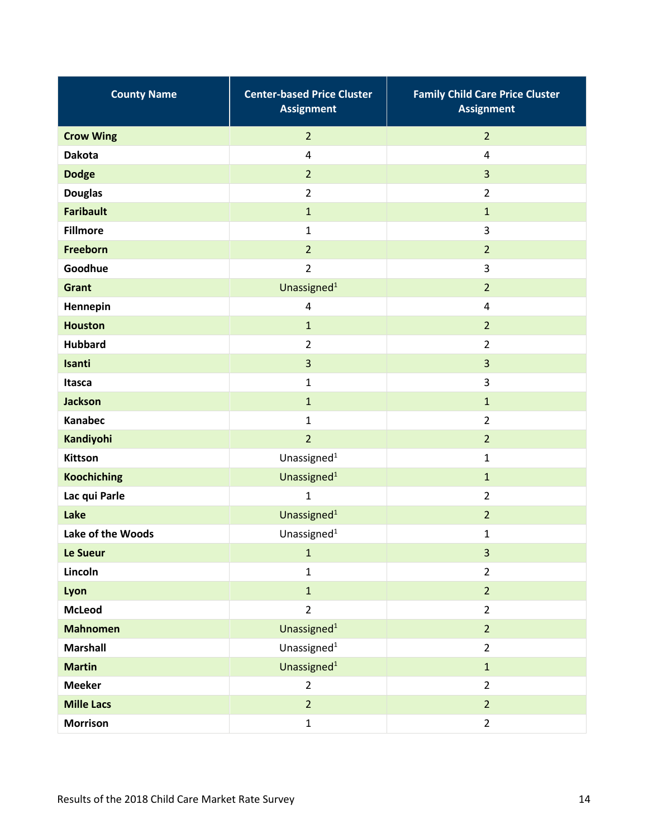| <b>County Name</b> | <b>Center-based Price Cluster</b><br><b>Assignment</b> | <b>Family Child Care Price Cluster</b><br><b>Assignment</b> |  |  |  |
|--------------------|--------------------------------------------------------|-------------------------------------------------------------|--|--|--|
| <b>Crow Wing</b>   | $\overline{2}$                                         | $\overline{2}$                                              |  |  |  |
| <b>Dakota</b>      | 4                                                      | $\overline{4}$                                              |  |  |  |
| <b>Dodge</b>       | $\overline{2}$                                         | $\overline{3}$                                              |  |  |  |
| <b>Douglas</b>     | $\overline{2}$                                         | $\overline{2}$                                              |  |  |  |
| <b>Faribault</b>   | $\mathbf{1}$                                           | $\mathbf{1}$                                                |  |  |  |
| <b>Fillmore</b>    | $\mathbf{1}$                                           | 3                                                           |  |  |  |
| Freeborn           | $\overline{2}$                                         | $\overline{2}$                                              |  |  |  |
| Goodhue            | $\overline{2}$                                         | 3                                                           |  |  |  |
| Grant              | Unassigned <sup>1</sup>                                | $\overline{2}$                                              |  |  |  |
| Hennepin           | $\pmb{4}$                                              | 4                                                           |  |  |  |
| <b>Houston</b>     | $\mathbf{1}$                                           | $\overline{2}$                                              |  |  |  |
| <b>Hubbard</b>     | $\overline{2}$                                         | $\overline{2}$                                              |  |  |  |
| Isanti             | 3                                                      | 3                                                           |  |  |  |
| Itasca             | $\mathbf{1}$                                           | 3                                                           |  |  |  |
| <b>Jackson</b>     | $\mathbf{1}$                                           | $\mathbf{1}$                                                |  |  |  |
| <b>Kanabec</b>     | $\mathbf{1}$                                           | $\overline{2}$                                              |  |  |  |
| Kandiyohi          | $\overline{2}$                                         | $\overline{2}$                                              |  |  |  |
| <b>Kittson</b>     | Unassigned <sup>1</sup>                                | $\mathbf{1}$                                                |  |  |  |
| <b>Koochiching</b> | Unassigned <sup>1</sup>                                | $\mathbf{1}$                                                |  |  |  |
| Lac qui Parle      | $\mathbf{1}$                                           | $\overline{2}$                                              |  |  |  |
| Lake               | Unassigned <sup>1</sup>                                | $\overline{2}$                                              |  |  |  |
| Lake of the Woods  | Unassigned <sup>1</sup>                                | $\mathbf{1}$                                                |  |  |  |
| Le Sueur           | $\mathbf{1}$                                           | 3                                                           |  |  |  |
| Lincoln            | $\mathbf{1}$                                           | $\overline{2}$                                              |  |  |  |
| Lyon               | $\mathbf{1}$                                           | $\overline{2}$                                              |  |  |  |
| <b>McLeod</b>      | $\overline{2}$                                         | $\overline{2}$                                              |  |  |  |
| <b>Mahnomen</b>    | Unassigned <sup>1</sup>                                | $\overline{2}$                                              |  |  |  |
| <b>Marshall</b>    | Unassigned $1$                                         | $\overline{2}$                                              |  |  |  |
| <b>Martin</b>      | Unassigned <sup>1</sup>                                | $\mathbf{1}$                                                |  |  |  |
| <b>Meeker</b>      | $\overline{2}$                                         | $\overline{2}$                                              |  |  |  |
| <b>Mille Lacs</b>  | $\overline{2}$                                         | $\overline{2}$                                              |  |  |  |
| <b>Morrison</b>    | $\mathbf{1}$                                           | $\overline{2}$                                              |  |  |  |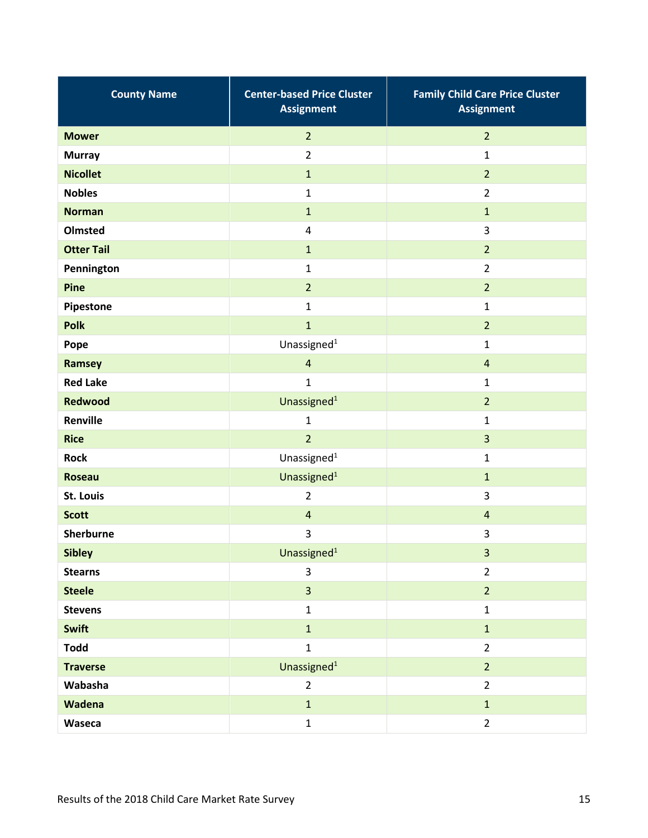| <b>County Name</b> | <b>Center-based Price Cluster</b><br><b>Assignment</b> | <b>Family Child Care Price Cluster</b><br><b>Assignment</b> |  |  |  |
|--------------------|--------------------------------------------------------|-------------------------------------------------------------|--|--|--|
| <b>Mower</b>       | $\overline{2}$                                         | $\overline{2}$                                              |  |  |  |
| <b>Murray</b>      | $\overline{2}$                                         | $\mathbf{1}$                                                |  |  |  |
| <b>Nicollet</b>    | $\mathbf{1}$                                           | $\overline{2}$                                              |  |  |  |
| <b>Nobles</b>      | $\mathbf{1}$                                           | $\overline{2}$                                              |  |  |  |
| <b>Norman</b>      | $\mathbf 1$                                            | $\mathbf{1}$                                                |  |  |  |
| Olmsted            | 4                                                      | 3                                                           |  |  |  |
| <b>Otter Tail</b>  | $\mathbf 1$                                            | $\overline{2}$                                              |  |  |  |
| Pennington         | $\mathbf{1}$                                           | $\overline{2}$                                              |  |  |  |
| Pine               | $\overline{2}$                                         | $\overline{2}$                                              |  |  |  |
| Pipestone          | $\mathbf{1}$                                           | $\mathbf{1}$                                                |  |  |  |
| <b>Polk</b>        | $\mathbf{1}$                                           | $\overline{2}$                                              |  |  |  |
| Pope               | Unassigned $1$                                         | $\mathbf{1}$                                                |  |  |  |
| Ramsey             | $\overline{4}$                                         | $\overline{a}$                                              |  |  |  |
| <b>Red Lake</b>    | $\mathbf{1}$                                           | $\mathbf{1}$                                                |  |  |  |
| <b>Redwood</b>     | Unassigned <sup>1</sup>                                | $\overline{2}$                                              |  |  |  |
| Renville           | $\mathbf{1}$                                           | $\mathbf{1}$                                                |  |  |  |
| <b>Rice</b>        | $\overline{2}$                                         | 3                                                           |  |  |  |
| <b>Rock</b>        | Unassigned $1$                                         | $\mathbf{1}$                                                |  |  |  |
| <b>Roseau</b>      | Unassigned <sup>1</sup>                                | $\mathbf{1}$                                                |  |  |  |
| <b>St. Louis</b>   | $\overline{2}$                                         | 3                                                           |  |  |  |
| <b>Scott</b>       | $\overline{a}$                                         | $\overline{4}$                                              |  |  |  |
| <b>Sherburne</b>   | 3                                                      | 3                                                           |  |  |  |
| <b>Sibley</b>      | Unassigned <sup>1</sup>                                | 3                                                           |  |  |  |
| <b>Stearns</b>     | $\overline{3}$                                         | $\overline{2}$                                              |  |  |  |
| <b>Steele</b>      | $\overline{3}$                                         | $\overline{2}$                                              |  |  |  |
| <b>Stevens</b>     | $\mathbf{1}$                                           | $\mathbf 1$                                                 |  |  |  |
| Swift              | $\overline{1}$                                         | $\mathbf{1}$                                                |  |  |  |
| <b>Todd</b>        | $\mathbf{1}$                                           | $\overline{2}$                                              |  |  |  |
| <b>Traverse</b>    | Unassigned <sup>1</sup>                                | 2 <sup>2</sup>                                              |  |  |  |
| Wabasha            | $\overline{2}$                                         | $\overline{2}$                                              |  |  |  |
| Wadena             | $\mathbf{1}$                                           | $\mathbf{1}$                                                |  |  |  |
| Waseca             | $\mathbf 1$                                            | $\overline{2}$                                              |  |  |  |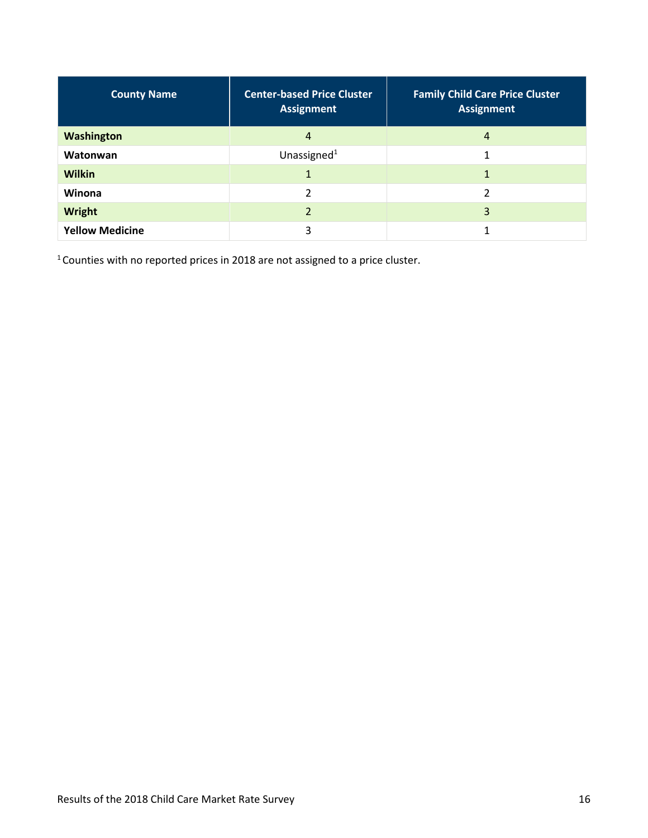| <b>County Name</b>     | <b>Center-based Price Cluster</b><br><b>Assignment</b> | <b>Family Child Care Price Cluster</b><br><b>Assignment</b> |
|------------------------|--------------------------------------------------------|-------------------------------------------------------------|
| Washington             | 4                                                      | 4                                                           |
| Watonwan               | Unassigned <sup>1</sup>                                |                                                             |
| <b>Wilkin</b>          |                                                        |                                                             |
| Winona                 | ຳ                                                      | 2                                                           |
| Wright                 |                                                        | 3                                                           |
| <b>Yellow Medicine</b> | 3                                                      | л                                                           |

1 Counties with no reported prices in 2018 are not assigned to a price cluster.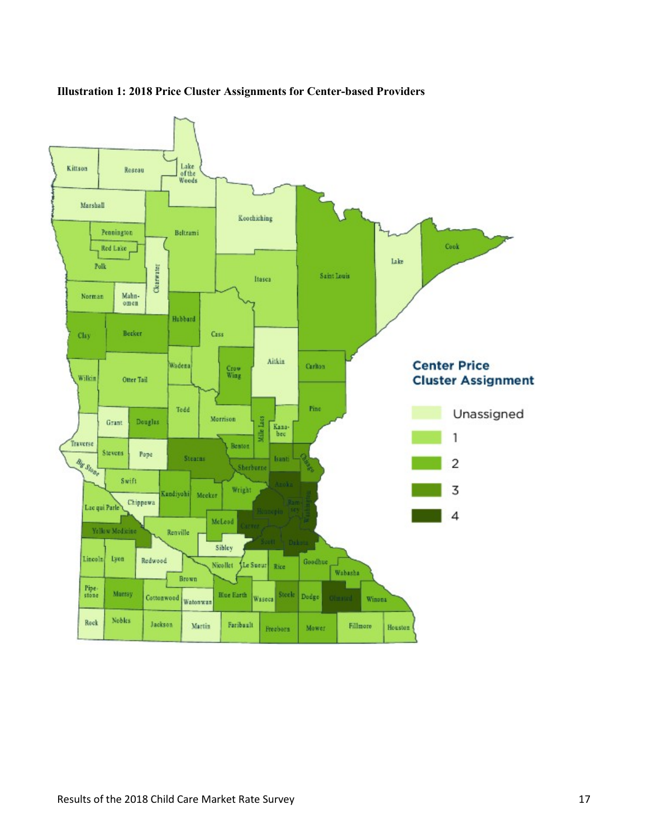

#### **Illustration 1: 2018 Price Cluster Assignments for Center-based Providers**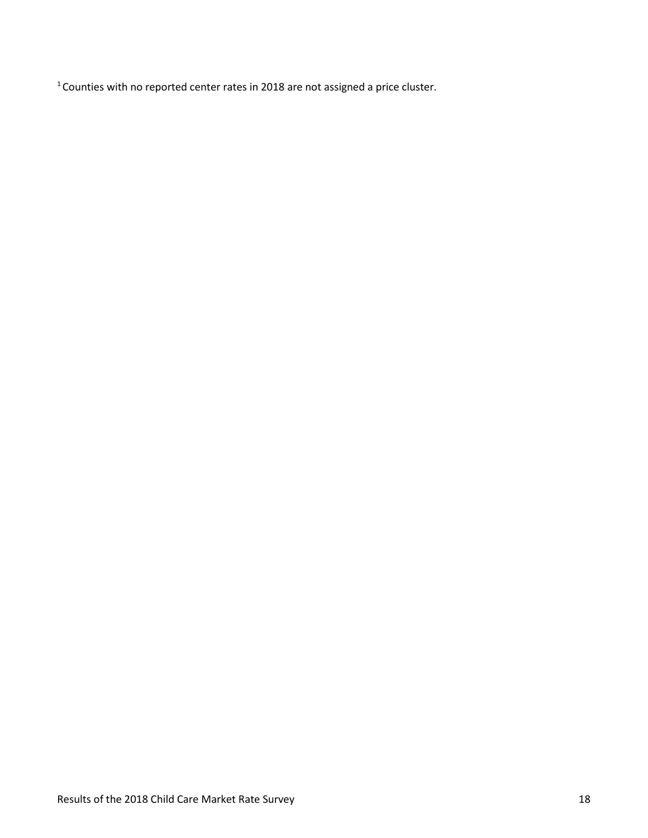1 Counties with no reported center rates in 2018 are not assigned a price cluster.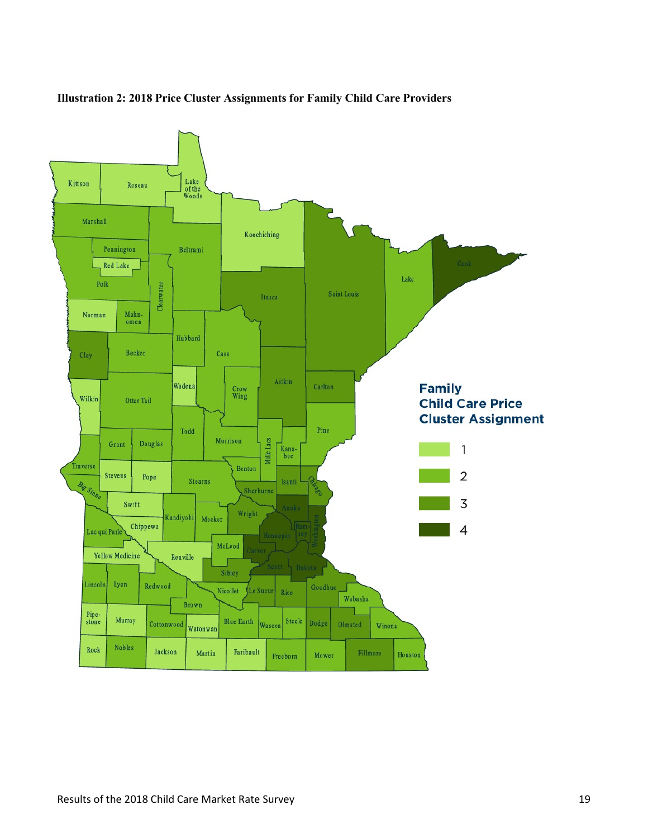

#### **Illustration 2: 2018 Price Cluster Assignments for Family Child Care Providers**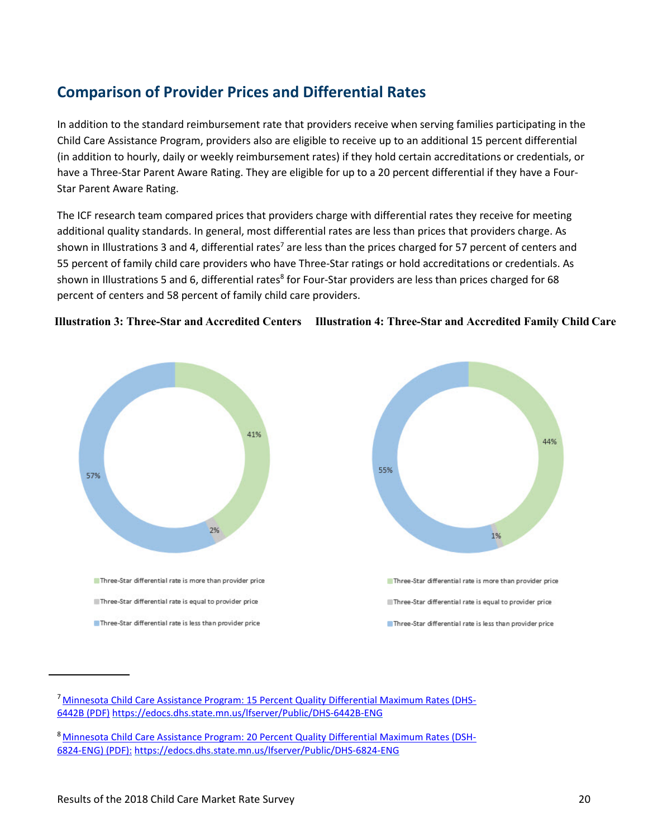## <span id="page-19-0"></span>**Comparison of Provider Prices and Differential Rates**

In addition to the standard reimbursement rate that providers receive when serving families participating in the Child Care Assistance Program, providers also are eligible to receive up to an additional 15 percent differential (in addition to hourly, daily or weekly reimbursement rates) if they hold certain accreditations or credentials, or have a Three-Star Parent Aware Rating. They are eligible for up to a 20 percent differential if they have a Four-Star Parent Aware Rating.

The ICF research team compared prices that providers charge with differential rates they receive for meeting additional quality standards. In general, most differential rates are less than prices that providers charge. As shown in Illustrations 3 and 4, differential rates<sup>7</sup> are less than the prices charged for 57 percent of centers and 55 percent of family child care providers who have Three-Star ratings or hold accreditations or credentials. As shown in Illustrations 5 and 6, differential rates<sup>8</sup> for Four-Star providers are less than prices charged for 68 percent of centers and 58 percent of family child care providers.





[<sup>7</sup> Minnesota Child Care Assistance Program: 15 Percent Quality Differential Maximum Rates](https://edocs.dhs.state.mn.us/lfserver/Public/DHS-6824-ENG) (DHS-[6442B \(PDF\)](https://edocs.dhs.state.mn.us/lfserver/Public/DHS-6824-ENG) <https://edocs.dhs.state.mn.us/lfserver/Public/DHS-6442B-ENG>

[<sup>8</sup> Minnesota Child Care Assistance Program: 20 Percent Quality Differential Maximum Rates \(DSH-](https://workplace/cfs/CP/CCAP/CCAP%20Forms/2018%20Market%20Rate%20Survey%20Analysis/Minnesota%20Child%20Care%20Assistance%20Program:%2020%20Percent%20Quality%20Differential%20Maximum%20Rates%20(DSH-6824-ENG)%20(PDF):)[6824-ENG\) \(PDF\):](https://workplace/cfs/CP/CCAP/CCAP%20Forms/2018%20Market%20Rate%20Survey%20Analysis/Minnesota%20Child%20Care%20Assistance%20Program:%2020%20Percent%20Quality%20Differential%20Maximum%20Rates%20(DSH-6824-ENG)%20(PDF):) <https://edocs.dhs.state.mn.us/lfserver/Public/DHS-6824-ENG>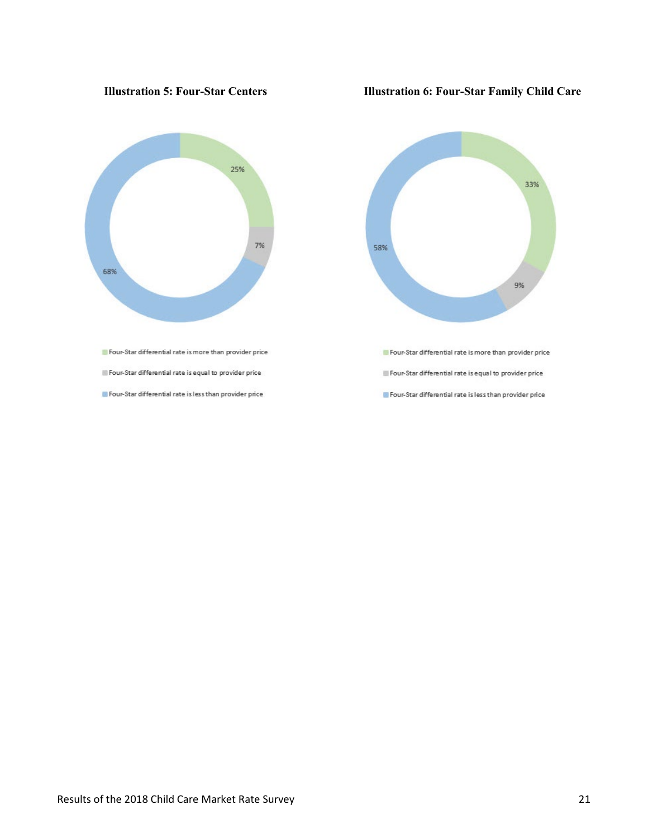

 $\blacksquare$  Four-Star differential rate is equal to provider price

Four-Star differential rate is less than provider price

#### **Illustration 5: Four-Star Centers Illustration 6: Four-Star Family Child Care**